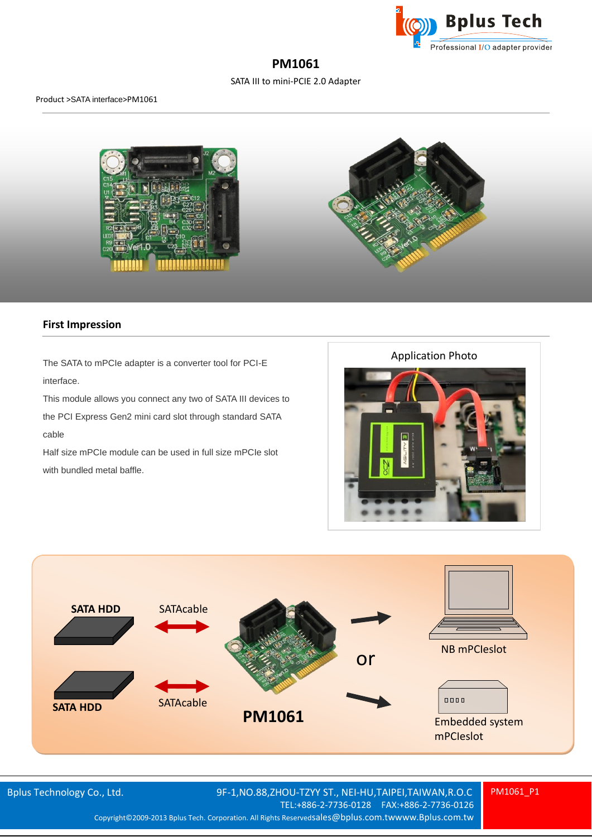

# **PM1061**

SATA III to mini-PCIE 2.0 Adapter



### **First Impression**

The SATA to mPCIe adapter is a converter tool for PCI-E interface. This module allows you connect any two of SATA III devices to

the PCI Express Gen2 mini card slot through standard SATA cable

Half size mPCIe module can be used in full size mPCIe slot with bundled metal baffle.